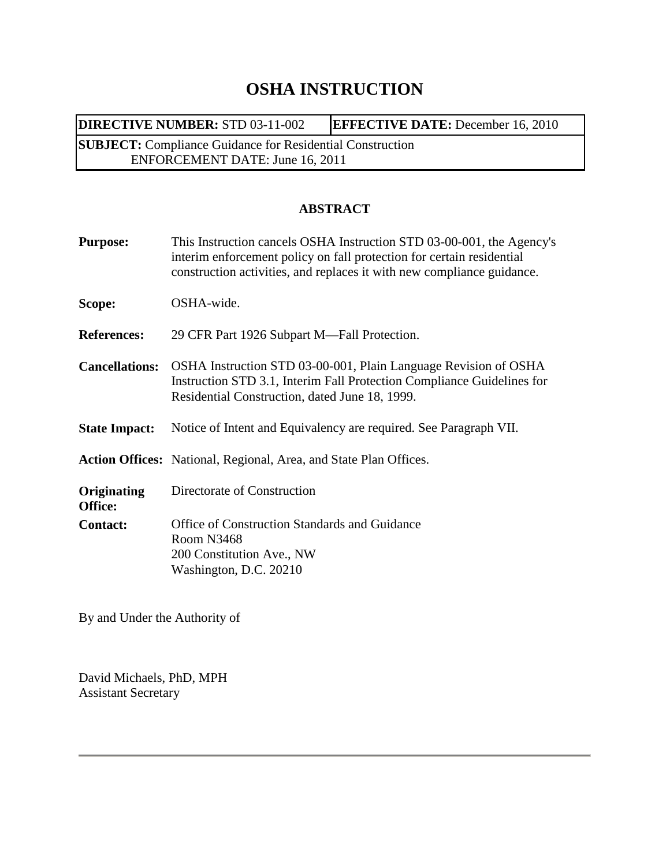# **OSHA INSTRUCTION**

**DIRECTIVE NUMBER:** STD 03-11-002 **EFFECTIVE DATE:** December 16, 2010 **SUBJECT:** Compliance Guidance for Residential Construction ENFORCEMENT DATE: June 16, 2011

## **ABSTRACT**

| <b>Purpose:</b>               | This Instruction cancels OSHA Instruction STD 03-00-001, the Agency's<br>interim enforcement policy on fall protection for certain residential<br>construction activities, and replaces it with new compliance guidance. |
|-------------------------------|--------------------------------------------------------------------------------------------------------------------------------------------------------------------------------------------------------------------------|
| Scope:                        | OSHA-wide.                                                                                                                                                                                                               |
| <b>References:</b>            | 29 CFR Part 1926 Subpart M—Fall Protection.                                                                                                                                                                              |
| <b>Cancellations:</b>         | OSHA Instruction STD 03-00-001, Plain Language Revision of OSHA<br>Instruction STD 3.1, Interim Fall Protection Compliance Guidelines for<br>Residential Construction, dated June 18, 1999.                              |
| <b>State Impact:</b>          | Notice of Intent and Equivalency are required. See Paragraph VII.                                                                                                                                                        |
|                               | Action Offices: National, Regional, Area, and State Plan Offices.                                                                                                                                                        |
| Originating<br><b>Office:</b> | Directorate of Construction                                                                                                                                                                                              |
| <b>Contact:</b>               | <b>Office of Construction Standards and Guidance</b>                                                                                                                                                                     |
|                               | Room N3468                                                                                                                                                                                                               |
|                               | 200 Constitution Ave., NW                                                                                                                                                                                                |
|                               | Washington, D.C. 20210                                                                                                                                                                                                   |
|                               |                                                                                                                                                                                                                          |

By and Under the Authority of

David Michaels, PhD, MPH Assistant Secretary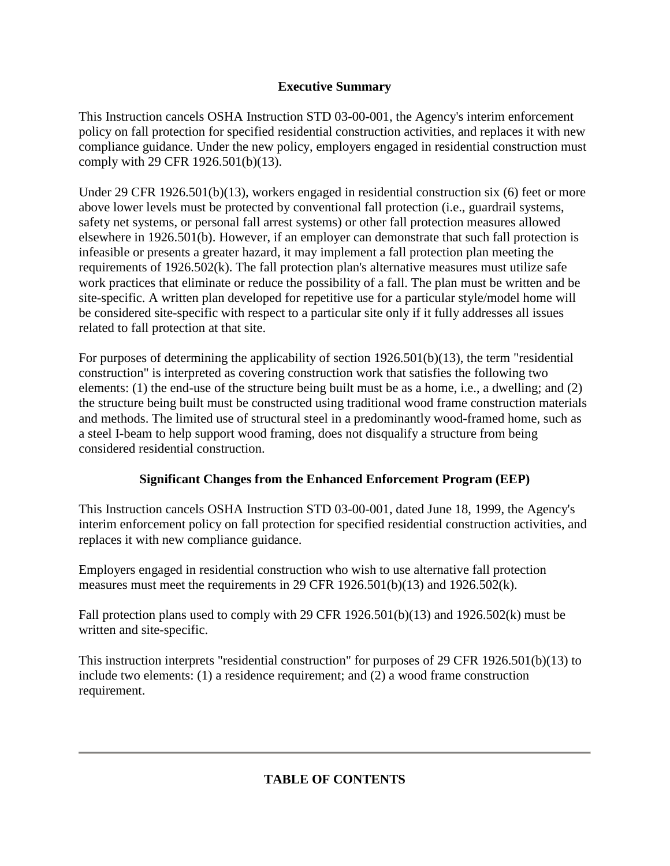# **Executive Summary**

This Instruction cancels OSHA Instruction STD 03-00-001, the Agency's interim enforcement policy on fall protection for specified residential construction activities, and replaces it with new compliance guidance. Under the new policy, employers engaged in residential construction must comply with 29 CFR 1926.501(b)(13).

Under 29 CFR 1926.501(b)(13), workers engaged in residential construction six (6) feet or more above lower levels must be protected by conventional fall protection (i.e., guardrail systems, safety net systems, or personal fall arrest systems) or other fall protection measures allowed elsewhere in 1926.501(b). However, if an employer can demonstrate that such fall protection is infeasible or presents a greater hazard, it may implement a fall protection plan meeting the requirements of 1926.502(k). The fall protection plan's alternative measures must utilize safe work practices that eliminate or reduce the possibility of a fall. The plan must be written and be site-specific. A written plan developed for repetitive use for a particular style/model home will be considered site-specific with respect to a particular site only if it fully addresses all issues related to fall protection at that site.

For purposes of determining the applicability of section 1926.501(b)(13), the term "residential construction" is interpreted as covering construction work that satisfies the following two elements: (1) the end-use of the structure being built must be as a home, i.e., a dwelling; and (2) the structure being built must be constructed using traditional wood frame construction materials and methods. The limited use of structural steel in a predominantly wood-framed home, such as a steel I-beam to help support wood framing, does not disqualify a structure from being considered residential construction.

# **Significant Changes from the Enhanced Enforcement Program (EEP)**

This Instruction cancels OSHA Instruction STD 03-00-001, dated June 18, 1999, the Agency's interim enforcement policy on fall protection for specified residential construction activities, and replaces it with new compliance guidance.

Employers engaged in residential construction who wish to use alternative fall protection measures must meet the requirements in 29 CFR 1926.501(b)(13) and 1926.502(k).

Fall protection plans used to comply with 29 CFR 1926.501(b)(13) and 1926.502(k) must be written and site-specific.

This instruction interprets "residential construction" for purposes of 29 CFR 1926.501(b)(13) to include two elements: (1) a residence requirement; and (2) a wood frame construction requirement.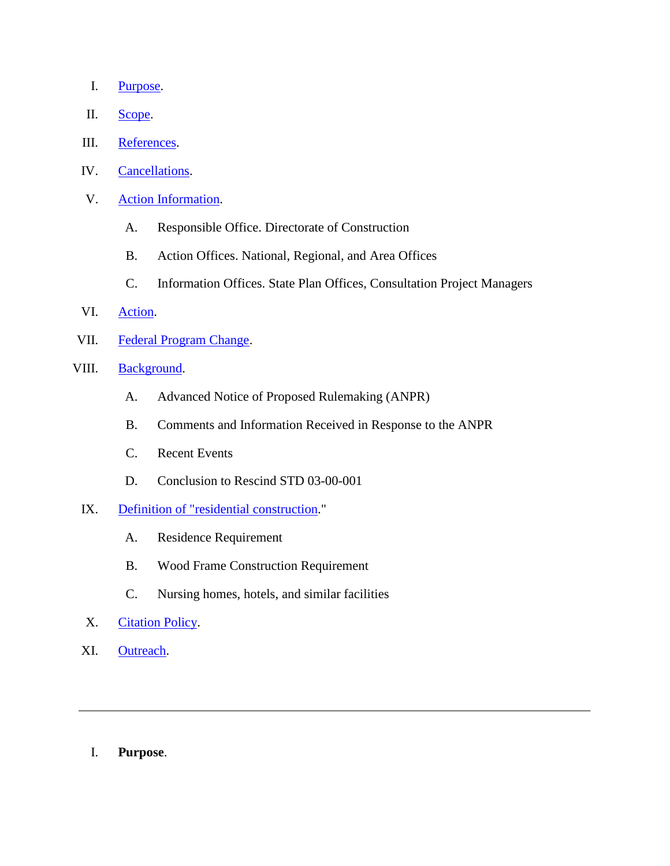- I. Purpose.
- II. Scope.
- III. References.
- IV. Cancellations.
- V. Action Information.
	- A. Responsible Office. Directorate of Construction
	- B. Action Offices. National, Regional, and Area Offices
	- C. Information Offices. State Plan Offices, Consultation Project Managers
- VI. Action.
- VII. Federal Program Change.
- VIII. Background.
	- A. Advanced Notice of Proposed Rulemaking (ANPR)
	- B. Comments and Information Received in Response to the ANPR
	- C. Recent Events
	- D. Conclusion to Rescind STD 03-00-001
	- IX. Definition of "residential construction."
		- A. Residence Requirement
		- B. Wood Frame Construction Requirement
		- C. Nursing homes, hotels, and similar facilities
	- X. Citation Policy.
	- XI. Outreach.

I. **Purpose**.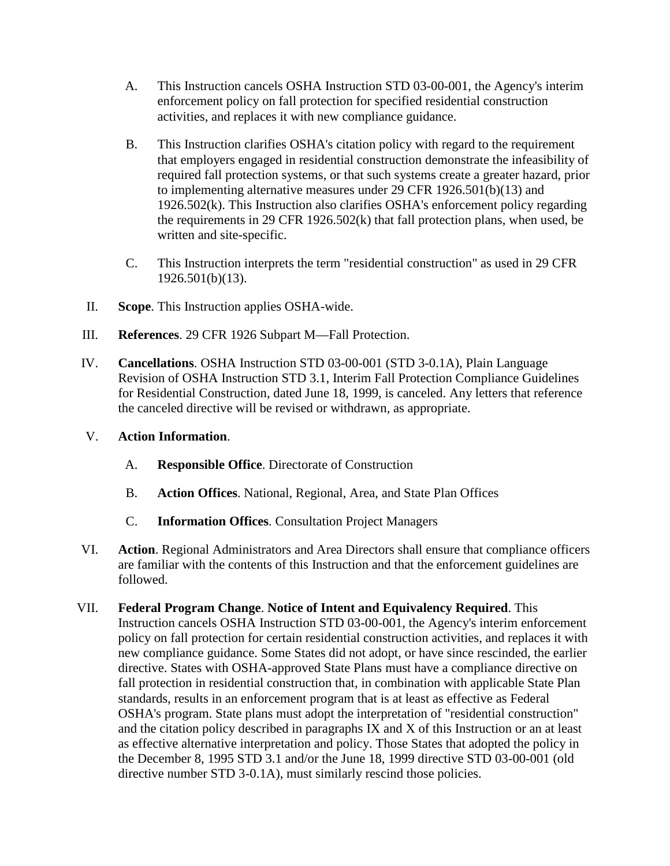- A. This Instruction cancels OSHA Instruction STD 03-00-001, the Agency's interim enforcement policy on fall protection for specified residential construction activities, and replaces it with new compliance guidance.
- B. This Instruction clarifies OSHA's citation policy with regard to the requirement that employers engaged in residential construction demonstrate the infeasibility of required fall protection systems, or that such systems create a greater hazard, prior to implementing alternative measures under 29 CFR 1926.501(b)(13) and 1926.502(k). This Instruction also clarifies OSHA's enforcement policy regarding the requirements in 29 CFR 1926.502(k) that fall protection plans, when used, be written and site-specific.
- C. This Instruction interprets the term "residential construction" as used in 29 CFR 1926.501(b)(13).
- II. **Scope**. This Instruction applies OSHA-wide.
- III. **References**. 29 CFR 1926 Subpart M—Fall Protection.
- IV. **Cancellations**. OSHA Instruction STD 03-00-001 (STD 3-0.1A), Plain Language Revision of OSHA Instruction STD 3.1, Interim Fall Protection Compliance Guidelines for Residential Construction, dated June 18, 1999, is canceled. Any letters that reference the canceled directive will be revised or withdrawn, as appropriate.
- V. **Action Information**.
	- A. **Responsible Office**. Directorate of Construction
	- B. **Action Offices**. National, Regional, Area, and State Plan Offices
	- C. **Information Offices**. Consultation Project Managers
- VI. **Action**. Regional Administrators and Area Directors shall ensure that compliance officers are familiar with the contents of this Instruction and that the enforcement guidelines are followed.
- VII. **Federal Program Change**. **Notice of Intent and Equivalency Required**. This Instruction cancels OSHA Instruction STD 03-00-001, the Agency's interim enforcement policy on fall protection for certain residential construction activities, and replaces it with new compliance guidance. Some States did not adopt, or have since rescinded, the earlier directive. States with OSHA-approved State Plans must have a compliance directive on fall protection in residential construction that, in combination with applicable State Plan standards, results in an enforcement program that is at least as effective as Federal OSHA's program. State plans must adopt the interpretation of "residential construction" and the citation policy described in paragraphs IX and X of this Instruction or an at least as effective alternative interpretation and policy. Those States that adopted the policy in the December 8, 1995 STD 3.1 and/or the June 18, 1999 directive STD 03-00-001 (old directive number STD 3-0.1A), must similarly rescind those policies.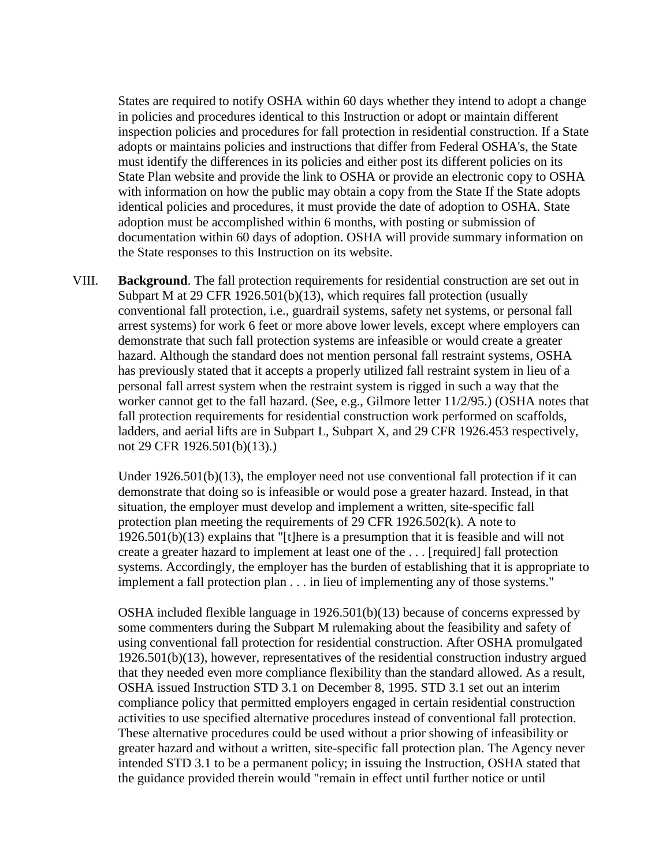States are required to notify OSHA within 60 days whether they intend to adopt a change in policies and procedures identical to this Instruction or adopt or maintain different inspection policies and procedures for fall protection in residential construction. If a State adopts or maintains policies and instructions that differ from Federal OSHA's, the State must identify the differences in its policies and either post its different policies on its State Plan website and provide the link to OSHA or provide an electronic copy to OSHA with information on how the public may obtain a copy from the State If the State adopts identical policies and procedures, it must provide the date of adoption to OSHA. State adoption must be accomplished within 6 months, with posting or submission of documentation within 60 days of adoption. OSHA will provide summary information on the State responses to this Instruction on its website.

VIII. **Background**. The fall protection requirements for residential construction are set out in Subpart M at 29 CFR 1926.501(b)(13), which requires fall protection (usually conventional fall protection, i.e., guardrail systems, safety net systems, or personal fall arrest systems) for work 6 feet or more above lower levels, except where employers can demonstrate that such fall protection systems are infeasible or would create a greater hazard. Although the standard does not mention personal fall restraint systems, OSHA has previously stated that it accepts a properly utilized fall restraint system in lieu of a personal fall arrest system when the restraint system is rigged in such a way that the worker cannot get to the fall hazard. (See, e.g., Gilmore letter 11/2/95.) (OSHA notes that fall protection requirements for residential construction work performed on scaffolds, ladders, and aerial lifts are in Subpart L, Subpart X, and 29 CFR 1926.453 respectively, not 29 CFR 1926.501(b)(13).)

Under 1926.501(b)(13), the employer need not use conventional fall protection if it can demonstrate that doing so is infeasible or would pose a greater hazard. Instead, in that situation, the employer must develop and implement a written, site-specific fall protection plan meeting the requirements of 29 CFR 1926.502(k). A note to 1926.501(b)(13) explains that "[t]here is a presumption that it is feasible and will not create a greater hazard to implement at least one of the . . . [required] fall protection systems. Accordingly, the employer has the burden of establishing that it is appropriate to implement a fall protection plan . . . in lieu of implementing any of those systems."

OSHA included flexible language in 1926.501(b)(13) because of concerns expressed by some commenters during the Subpart M rulemaking about the feasibility and safety of using conventional fall protection for residential construction. After OSHA promulgated 1926.501(b)(13), however, representatives of the residential construction industry argued that they needed even more compliance flexibility than the standard allowed. As a result, OSHA issued Instruction STD 3.1 on December 8, 1995. STD 3.1 set out an interim compliance policy that permitted employers engaged in certain residential construction activities to use specified alternative procedures instead of conventional fall protection. These alternative procedures could be used without a prior showing of infeasibility or greater hazard and without a written, site-specific fall protection plan. The Agency never intended STD 3.1 to be a permanent policy; in issuing the Instruction, OSHA stated that the guidance provided therein would "remain in effect until further notice or until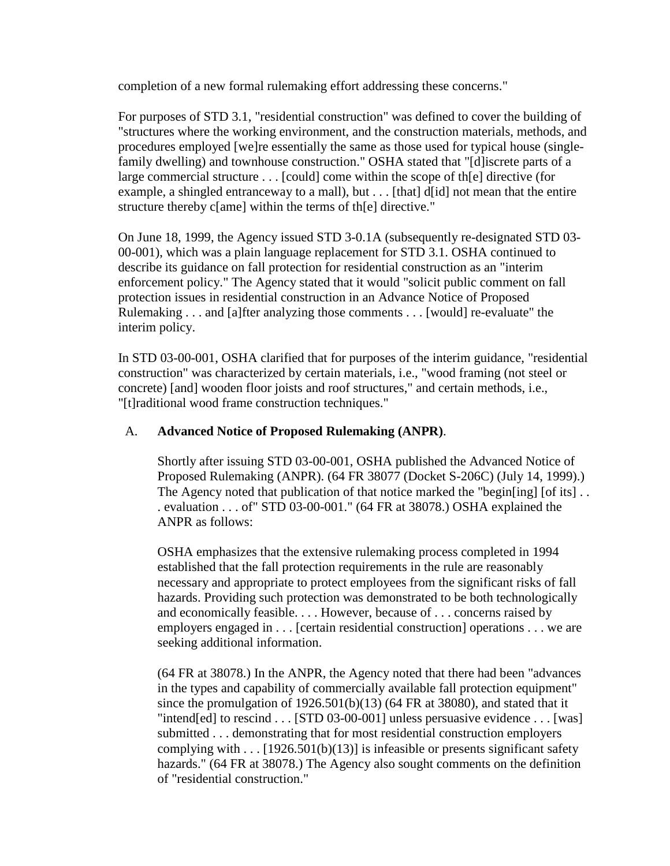completion of a new formal rulemaking effort addressing these concerns."

For purposes of STD 3.1, "residential construction" was defined to cover the building of "structures where the working environment, and the construction materials, methods, and procedures employed [we]re essentially the same as those used for typical house (singlefamily dwelling) and townhouse construction." OSHA stated that "[d]iscrete parts of a large commercial structure . . . [could] come within the scope of th[e] directive (for example, a shingled entranceway to a mall), but . . . [that] d[id] not mean that the entire structure thereby c[ame] within the terms of th[e] directive."

On June 18, 1999, the Agency issued STD 3-0.1A (subsequently re-designated STD 03- 00-001), which was a plain language replacement for STD 3.1. OSHA continued to describe its guidance on fall protection for residential construction as an "interim enforcement policy." The Agency stated that it would "solicit public comment on fall protection issues in residential construction in an Advance Notice of Proposed Rulemaking . . . and [a]fter analyzing those comments . . . [would] re-evaluate" the interim policy.

In STD 03-00-001, OSHA clarified that for purposes of the interim guidance, "residential construction" was characterized by certain materials, i.e., "wood framing (not steel or concrete) [and] wooden floor joists and roof structures," and certain methods, i.e., "[t]raditional wood frame construction techniques."

## A. **Advanced Notice of Proposed Rulemaking (ANPR)**.

Shortly after issuing STD 03-00-001, OSHA published the Advanced Notice of Proposed Rulemaking (ANPR). (64 FR 38077 (Docket S-206C) (July 14, 1999).) The Agency noted that publication of that notice marked the "begin[ing] [of its]  $\ldots$ . evaluation . . . of" STD 03-00-001." (64 FR at 38078.) OSHA explained the ANPR as follows:

OSHA emphasizes that the extensive rulemaking process completed in 1994 established that the fall protection requirements in the rule are reasonably necessary and appropriate to protect employees from the significant risks of fall hazards. Providing such protection was demonstrated to be both technologically and economically feasible. . . . However, because of . . . concerns raised by employers engaged in . . . [certain residential construction] operations . . . we are seeking additional information.

(64 FR at 38078.) In the ANPR, the Agency noted that there had been "advances in the types and capability of commercially available fall protection equipment" since the promulgation of  $1926.501(b)(13)$  (64 FR at 38080), and stated that it "intend[ed] to rescind . . . [STD 03-00-001] unless persuasive evidence . . . [was] submitted . . . demonstrating that for most residential construction employers complying with  $\dots$  [1926.501(b)(13)] is infeasible or presents significant safety hazards." (64 FR at 38078.) The Agency also sought comments on the definition of "residential construction."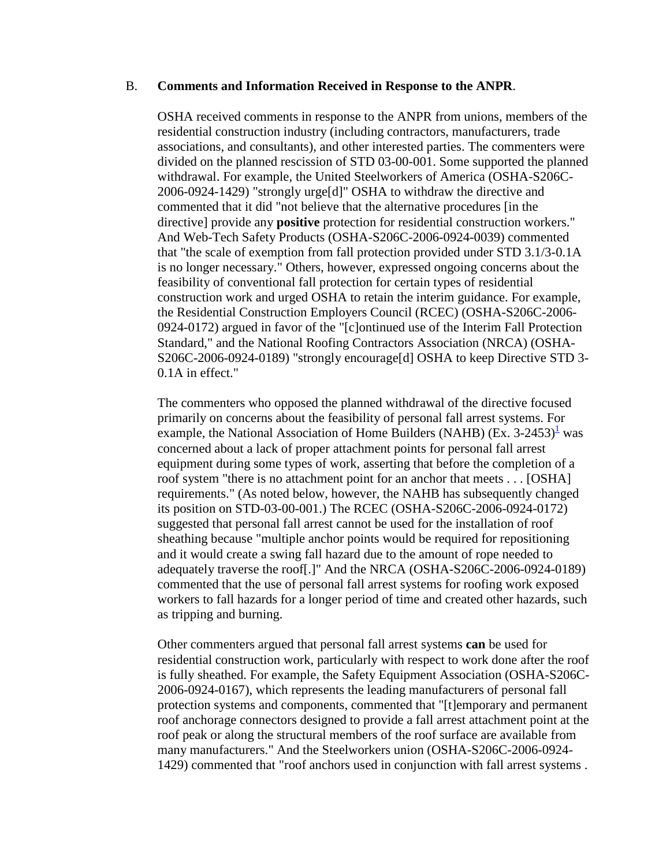#### B. **Comments and Information Received in Response to the ANPR**.

OSHA received comments in response to the ANPR from unions, members of the residential construction industry (including contractors, manufacturers, trade associations, and consultants), and other interested parties. The commenters were divided on the planned rescission of STD 03-00-001. Some supported the planned withdrawal. For example, the United Steelworkers of America (OSHA-S206C-2006-0924-1429) "strongly urge[d]" OSHA to withdraw the directive and commented that it did "not believe that the alternative procedures [in the directive] provide any **positive** protection for residential construction workers." And Web-Tech Safety Products (OSHA-S206C-2006-0924-0039) commented that "the scale of exemption from fall protection provided under STD 3.1/3-0.1A is no longer necessary." Others, however, expressed ongoing concerns about the feasibility of conventional fall protection for certain types of residential construction work and urged OSHA to retain the interim guidance. For example, the Residential Construction Employers Council (RCEC) (OSHA-S206C-2006- 0924-0172) argued in favor of the "[c]ontinued use of the Interim Fall Protection Standard," and the National Roofing Contractors Association (NRCA) (OSHA-S206C-2006-0924-0189) "strongly encourage[d] OSHA to keep Directive STD 3- 0.1A in effect."

The commenters who opposed the planned withdrawal of the directive focused primarily on concerns about the feasibility of personal fall arrest systems. For example, the National Association of Home Builders (NAHB) (Ex.  $3-2453$ )<sup>1</sup> was concerned about a lack of proper attachment points for personal fall arrest equipment during some types of work, asserting that before the completion of a roof system "there is no attachment point for an anchor that meets . . . [OSHA] requirements." (As noted below, however, the NAHB has subsequently changed its position on STD-03-00-001.) The RCEC (OSHA-S206C-2006-0924-0172) suggested that personal fall arrest cannot be used for the installation of roof sheathing because "multiple anchor points would be required for repositioning and it would create a swing fall hazard due to the amount of rope needed to adequately traverse the roof[.]" And the NRCA (OSHA-S206C-2006-0924-0189) commented that the use of personal fall arrest systems for roofing work exposed workers to fall hazards for a longer period of time and created other hazards, such as tripping and burning.

Other commenters argued that personal fall arrest systems **can** be used for residential construction work, particularly with respect to work done after the roof is fully sheathed. For example, the Safety Equipment Association (OSHA-S206C-2006-0924-0167), which represents the leading manufacturers of personal fall protection systems and components, commented that "[t]emporary and permanent roof anchorage connectors designed to provide a fall arrest attachment point at the roof peak or along the structural members of the roof surface are available from many manufacturers." And the Steelworkers union (OSHA-S206C-2006-0924- 1429) commented that "roof anchors used in conjunction with fall arrest systems .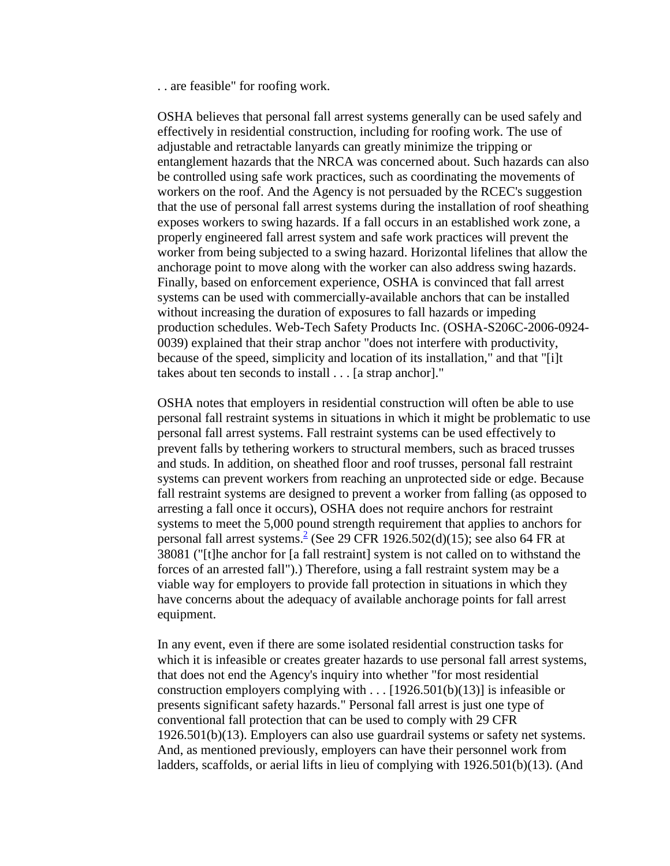. . are feasible" for roofing work.

OSHA believes that personal fall arrest systems generally can be used safely and effectively in residential construction, including for roofing work. The use of adjustable and retractable lanyards can greatly minimize the tripping or entanglement hazards that the NRCA was concerned about. Such hazards can also be controlled using safe work practices, such as coordinating the movements of workers on the roof. And the Agency is not persuaded by the RCEC's suggestion that the use of personal fall arrest systems during the installation of roof sheathing exposes workers to swing hazards. If a fall occurs in an established work zone, a properly engineered fall arrest system and safe work practices will prevent the worker from being subjected to a swing hazard. Horizontal lifelines that allow the anchorage point to move along with the worker can also address swing hazards. Finally, based on enforcement experience, OSHA is convinced that fall arrest systems can be used with commercially-available anchors that can be installed without increasing the duration of exposures to fall hazards or impeding production schedules. Web-Tech Safety Products Inc. (OSHA-S206C-2006-0924- 0039) explained that their strap anchor "does not interfere with productivity, because of the speed, simplicity and location of its installation," and that "[i]t takes about ten seconds to install . . . [a strap anchor]."

OSHA notes that employers in residential construction will often be able to use personal fall restraint systems in situations in which it might be problematic to use personal fall arrest systems. Fall restraint systems can be used effectively to prevent falls by tethering workers to structural members, such as braced trusses and studs. In addition, on sheathed floor and roof trusses, personal fall restraint systems can prevent workers from reaching an unprotected side or edge. Because fall restraint systems are designed to prevent a worker from falling (as opposed to arresting a fall once it occurs), OSHA does not require anchors for restraint systems to meet the 5,000 pound strength requirement that applies to anchors for personal fall arrest systems.<sup>2</sup> (See 29 CFR 1926.502(d)(15); see also 64 FR at 38081 ("[t]he anchor for [a fall restraint] system is not called on to withstand the forces of an arrested fall").) Therefore, using a fall restraint system may be a viable way for employers to provide fall protection in situations in which they have concerns about the adequacy of available anchorage points for fall arrest equipment.

In any event, even if there are some isolated residential construction tasks for which it is infeasible or creates greater hazards to use personal fall arrest systems, that does not end the Agency's inquiry into whether "for most residential construction employers complying with  $\dots$  [1926.501(b)(13)] is infeasible or presents significant safety hazards." Personal fall arrest is just one type of conventional fall protection that can be used to comply with 29 CFR 1926.501(b)(13). Employers can also use guardrail systems or safety net systems. And, as mentioned previously, employers can have their personnel work from ladders, scaffolds, or aerial lifts in lieu of complying with 1926.501(b)(13). (And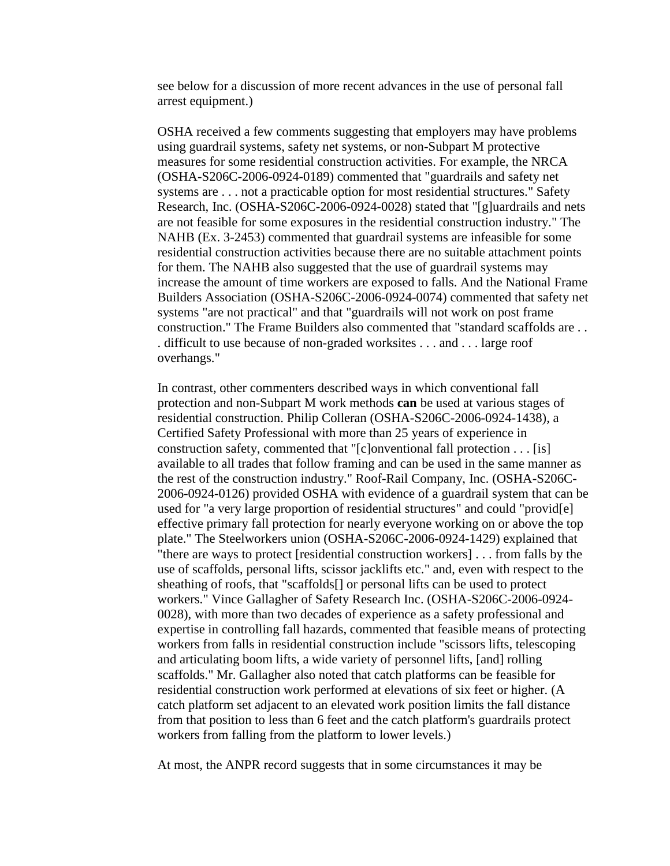see below for a discussion of more recent advances in the use of personal fall arrest equipment.)

OSHA received a few comments suggesting that employers may have problems using guardrail systems, safety net systems, or non-Subpart M protective measures for some residential construction activities. For example, the NRCA (OSHA-S206C-2006-0924-0189) commented that "guardrails and safety net systems are . . . not a practicable option for most residential structures." Safety Research, Inc. (OSHA-S206C-2006-0924-0028) stated that "[g]uardrails and nets are not feasible for some exposures in the residential construction industry." The NAHB (Ex. 3-2453) commented that guardrail systems are infeasible for some residential construction activities because there are no suitable attachment points for them. The NAHB also suggested that the use of guardrail systems may increase the amount of time workers are exposed to falls. And the National Frame Builders Association (OSHA-S206C-2006-0924-0074) commented that safety net systems "are not practical" and that "guardrails will not work on post frame construction." The Frame Builders also commented that "standard scaffolds are . . . difficult to use because of non-graded worksites . . . and . . . large roof overhangs."

In contrast, other commenters described ways in which conventional fall protection and non-Subpart M work methods **can** be used at various stages of residential construction. Philip Colleran (OSHA-S206C-2006-0924-1438), a Certified Safety Professional with more than 25 years of experience in construction safety, commented that "[c]onventional fall protection . . . [is] available to all trades that follow framing and can be used in the same manner as the rest of the construction industry." Roof-Rail Company, Inc. (OSHA-S206C-2006-0924-0126) provided OSHA with evidence of a guardrail system that can be used for "a very large proportion of residential structures" and could "provid[e] effective primary fall protection for nearly everyone working on or above the top plate." The Steelworkers union (OSHA-S206C-2006-0924-1429) explained that "there are ways to protect [residential construction workers] . . . from falls by the use of scaffolds, personal lifts, scissor jacklifts etc." and, even with respect to the sheathing of roofs, that "scaffolds[] or personal lifts can be used to protect workers." Vince Gallagher of Safety Research Inc. (OSHA-S206C-2006-0924- 0028), with more than two decades of experience as a safety professional and expertise in controlling fall hazards, commented that feasible means of protecting workers from falls in residential construction include "scissors lifts, telescoping and articulating boom lifts, a wide variety of personnel lifts, [and] rolling scaffolds." Mr. Gallagher also noted that catch platforms can be feasible for residential construction work performed at elevations of six feet or higher. (A catch platform set adjacent to an elevated work position limits the fall distance from that position to less than 6 feet and the catch platform's guardrails protect workers from falling from the platform to lower levels.)

At most, the ANPR record suggests that in some circumstances it may be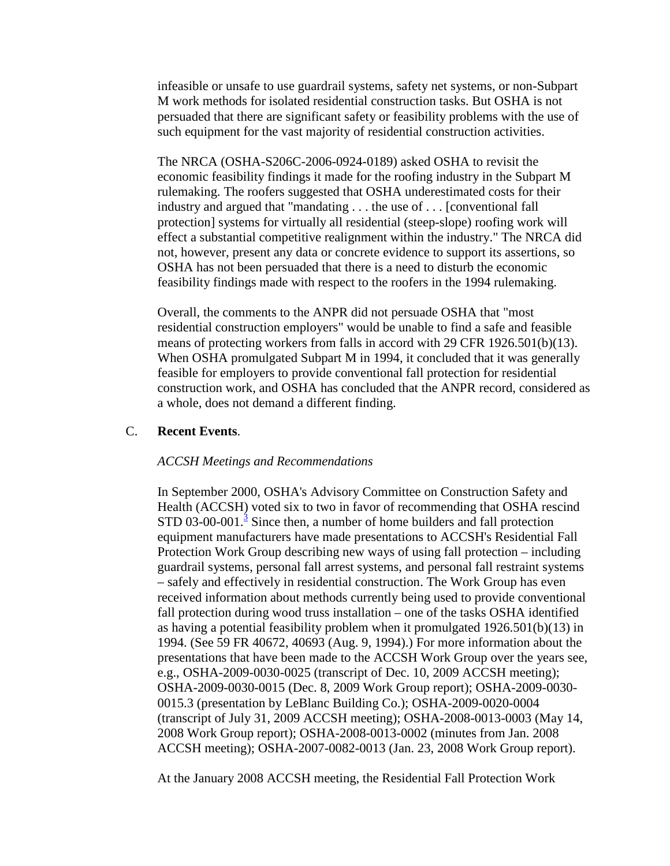infeasible or unsafe to use guardrail systems, safety net systems, or non-Subpart M work methods for isolated residential construction tasks. But OSHA is not persuaded that there are significant safety or feasibility problems with the use of such equipment for the vast majority of residential construction activities.

The NRCA (OSHA-S206C-2006-0924-0189) asked OSHA to revisit the economic feasibility findings it made for the roofing industry in the Subpart M rulemaking. The roofers suggested that OSHA underestimated costs for their industry and argued that "mandating . . . the use of . . . [conventional fall protection] systems for virtually all residential (steep-slope) roofing work will effect a substantial competitive realignment within the industry." The NRCA did not, however, present any data or concrete evidence to support its assertions, so OSHA has not been persuaded that there is a need to disturb the economic feasibility findings made with respect to the roofers in the 1994 rulemaking.

Overall, the comments to the ANPR did not persuade OSHA that "most residential construction employers" would be unable to find a safe and feasible means of protecting workers from falls in accord with 29 CFR 1926.501(b)(13). When OSHA promulgated Subpart M in 1994, it concluded that it was generally feasible for employers to provide conventional fall protection for residential construction work, and OSHA has concluded that the ANPR record, considered as a whole, does not demand a different finding.

#### C. **Recent Events**.

#### *ACCSH Meetings and Recommendations*

In September 2000, OSHA's Advisory Committee on Construction Safety and Health (ACCSH) voted six to two in favor of recommending that OSHA rescind  $STD$  03-00-001.<sup>3</sup> Since then, a number of home builders and fall protection equipment manufacturers have made presentations to ACCSH's Residential Fall Protection Work Group describing new ways of using fall protection – including guardrail systems, personal fall arrest systems, and personal fall restraint systems – safely and effectively in residential construction. The Work Group has even received information about methods currently being used to provide conventional fall protection during wood truss installation – one of the tasks OSHA identified as having a potential feasibility problem when it promulgated 1926.501(b)(13) in 1994. (See 59 FR 40672, 40693 (Aug. 9, 1994).) For more information about the presentations that have been made to the ACCSH Work Group over the years see, e.g., OSHA-2009-0030-0025 (transcript of Dec. 10, 2009 ACCSH meeting); OSHA-2009-0030-0015 (Dec. 8, 2009 Work Group report); OSHA-2009-0030- 0015.3 (presentation by LeBlanc Building Co.); OSHA-2009-0020-0004 (transcript of July 31, 2009 ACCSH meeting); OSHA-2008-0013-0003 (May 14, 2008 Work Group report); OSHA-2008-0013-0002 (minutes from Jan. 2008 ACCSH meeting); OSHA-2007-0082-0013 (Jan. 23, 2008 Work Group report).

At the January 2008 ACCSH meeting, the Residential Fall Protection Work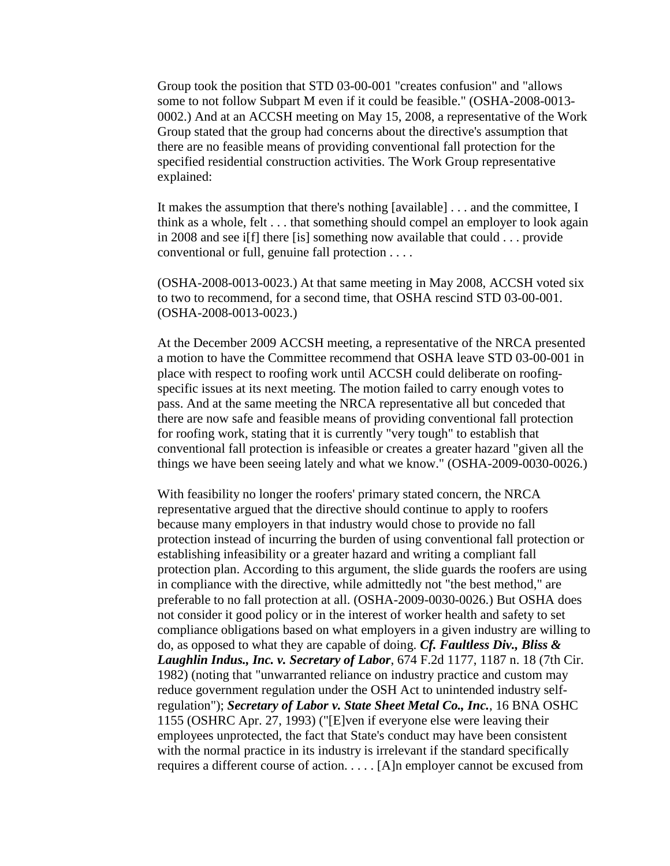Group took the position that STD 03-00-001 "creates confusion" and "allows some to not follow Subpart M even if it could be feasible." (OSHA-2008-0013- 0002.) And at an ACCSH meeting on May 15, 2008, a representative of the Work Group stated that the group had concerns about the directive's assumption that there are no feasible means of providing conventional fall protection for the specified residential construction activities. The Work Group representative explained:

It makes the assumption that there's nothing [available] . . . and the committee, I think as a whole, felt . . . that something should compel an employer to look again in 2008 and see i[f] there [is] something now available that could . . . provide conventional or full, genuine fall protection . . . .

(OSHA-2008-0013-0023.) At that same meeting in May 2008, ACCSH voted six to two to recommend, for a second time, that OSHA rescind STD 03-00-001. (OSHA-2008-0013-0023.)

At the December 2009 ACCSH meeting, a representative of the NRCA presented a motion to have the Committee recommend that OSHA leave STD 03-00-001 in place with respect to roofing work until ACCSH could deliberate on roofingspecific issues at its next meeting. The motion failed to carry enough votes to pass. And at the same meeting the NRCA representative all but conceded that there are now safe and feasible means of providing conventional fall protection for roofing work, stating that it is currently "very tough" to establish that conventional fall protection is infeasible or creates a greater hazard "given all the things we have been seeing lately and what we know." (OSHA-2009-0030-0026.)

With feasibility no longer the roofers' primary stated concern, the NRCA representative argued that the directive should continue to apply to roofers because many employers in that industry would chose to provide no fall protection instead of incurring the burden of using conventional fall protection or establishing infeasibility or a greater hazard and writing a compliant fall protection plan. According to this argument, the slide guards the roofers are using in compliance with the directive, while admittedly not "the best method," are preferable to no fall protection at all. (OSHA-2009-0030-0026.) But OSHA does not consider it good policy or in the interest of worker health and safety to set compliance obligations based on what employers in a given industry are willing to do, as opposed to what they are capable of doing. *Cf. Faultless Div., Bliss & Laughlin Indus., Inc. v. Secretary of Labor*, 674 F.2d 1177, 1187 n. 18 (7th Cir. 1982) (noting that "unwarranted reliance on industry practice and custom may reduce government regulation under the OSH Act to unintended industry selfregulation"); *Secretary of Labor v. State Sheet Metal Co., Inc.*, 16 BNA OSHC 1155 (OSHRC Apr. 27, 1993) ("[E]ven if everyone else were leaving their employees unprotected, the fact that State's conduct may have been consistent with the normal practice in its industry is irrelevant if the standard specifically requires a different course of action. . . . . [A]n employer cannot be excused from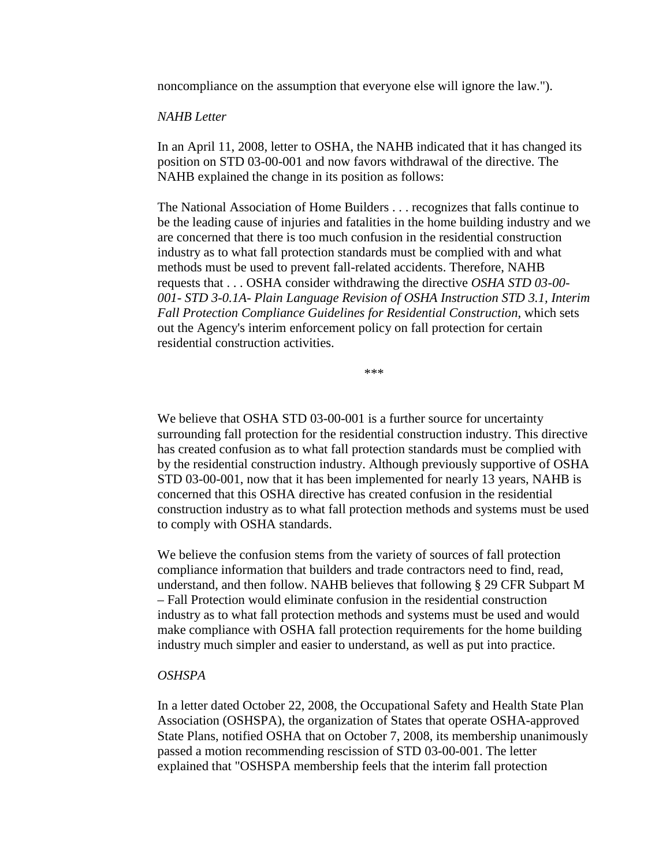noncompliance on the assumption that everyone else will ignore the law.").

#### *NAHB Letter*

In an April 11, 2008, letter to OSHA, the NAHB indicated that it has changed its position on STD 03-00-001 and now favors withdrawal of the directive. The NAHB explained the change in its position as follows:

The National Association of Home Builders . . . recognizes that falls continue to be the leading cause of injuries and fatalities in the home building industry and we are concerned that there is too much confusion in the residential construction industry as to what fall protection standards must be complied with and what methods must be used to prevent fall-related accidents. Therefore, NAHB requests that . . . OSHA consider withdrawing the directive *OSHA STD 03-00- 001- STD 3-0.1A- Plain Language Revision of OSHA Instruction STD 3.1, Interim Fall Protection Compliance Guidelines for Residential Construction*, which sets out the Agency's interim enforcement policy on fall protection for certain residential construction activities.

\*\*\*

We believe that OSHA STD 03-00-001 is a further source for uncertainty surrounding fall protection for the residential construction industry. This directive has created confusion as to what fall protection standards must be complied with by the residential construction industry. Although previously supportive of OSHA STD 03-00-001, now that it has been implemented for nearly 13 years, NAHB is concerned that this OSHA directive has created confusion in the residential construction industry as to what fall protection methods and systems must be used to comply with OSHA standards.

We believe the confusion stems from the variety of sources of fall protection compliance information that builders and trade contractors need to find, read, understand, and then follow. NAHB believes that following § 29 CFR Subpart M – Fall Protection would eliminate confusion in the residential construction industry as to what fall protection methods and systems must be used and would make compliance with OSHA fall protection requirements for the home building industry much simpler and easier to understand, as well as put into practice.

## *OSHSPA*

In a letter dated October 22, 2008, the Occupational Safety and Health State Plan Association (OSHSPA), the organization of States that operate OSHA-approved State Plans, notified OSHA that on October 7, 2008, its membership unanimously passed a motion recommending rescission of STD 03-00-001. The letter explained that "OSHSPA membership feels that the interim fall protection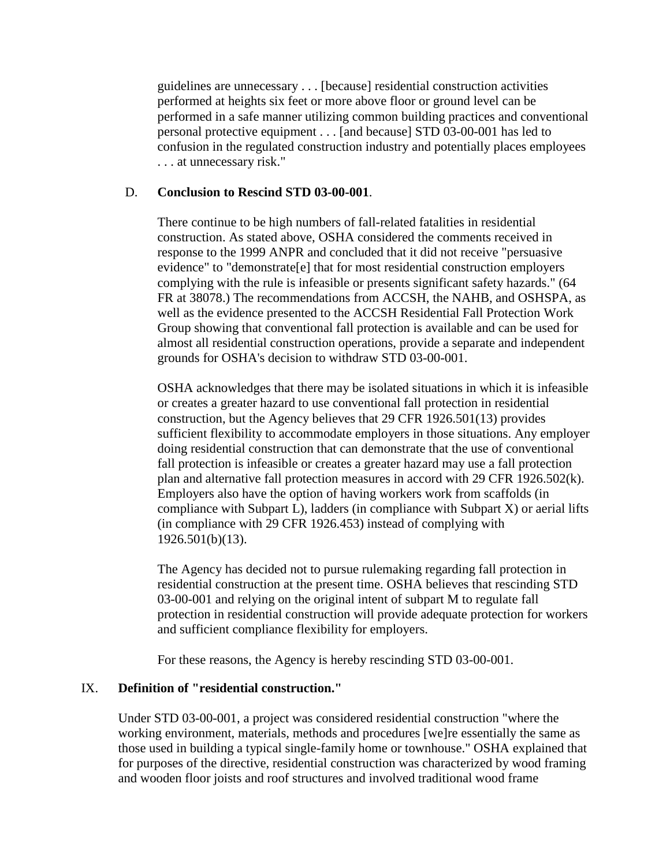guidelines are unnecessary . . . [because] residential construction activities performed at heights six feet or more above floor or ground level can be performed in a safe manner utilizing common building practices and conventional personal protective equipment . . . [and because] STD 03-00-001 has led to confusion in the regulated construction industry and potentially places employees . . . at unnecessary risk."

### D. **Conclusion to Rescind STD 03-00-001**.

There continue to be high numbers of fall-related fatalities in residential construction. As stated above, OSHA considered the comments received in response to the 1999 ANPR and concluded that it did not receive "persuasive evidence" to "demonstrate[e] that for most residential construction employers complying with the rule is infeasible or presents significant safety hazards." (64 FR at 38078.) The recommendations from ACCSH, the NAHB, and OSHSPA, as well as the evidence presented to the ACCSH Residential Fall Protection Work Group showing that conventional fall protection is available and can be used for almost all residential construction operations, provide a separate and independent grounds for OSHA's decision to withdraw STD 03-00-001.

OSHA acknowledges that there may be isolated situations in which it is infeasible or creates a greater hazard to use conventional fall protection in residential construction, but the Agency believes that 29 CFR 1926.501(13) provides sufficient flexibility to accommodate employers in those situations. Any employer doing residential construction that can demonstrate that the use of conventional fall protection is infeasible or creates a greater hazard may use a fall protection plan and alternative fall protection measures in accord with 29 CFR 1926.502(k). Employers also have the option of having workers work from scaffolds (in compliance with Subpart L), ladders (in compliance with Subpart X) or aerial lifts (in compliance with 29 CFR 1926.453) instead of complying with 1926.501(b)(13).

The Agency has decided not to pursue rulemaking regarding fall protection in residential construction at the present time. OSHA believes that rescinding STD 03-00-001 and relying on the original intent of subpart M to regulate fall protection in residential construction will provide adequate protection for workers and sufficient compliance flexibility for employers.

For these reasons, the Agency is hereby rescinding STD 03-00-001.

#### IX. **Definition of "residential construction."**

Under STD 03-00-001, a project was considered residential construction "where the working environment, materials, methods and procedures [we]re essentially the same as those used in building a typical single-family home or townhouse." OSHA explained that for purposes of the directive, residential construction was characterized by wood framing and wooden floor joists and roof structures and involved traditional wood frame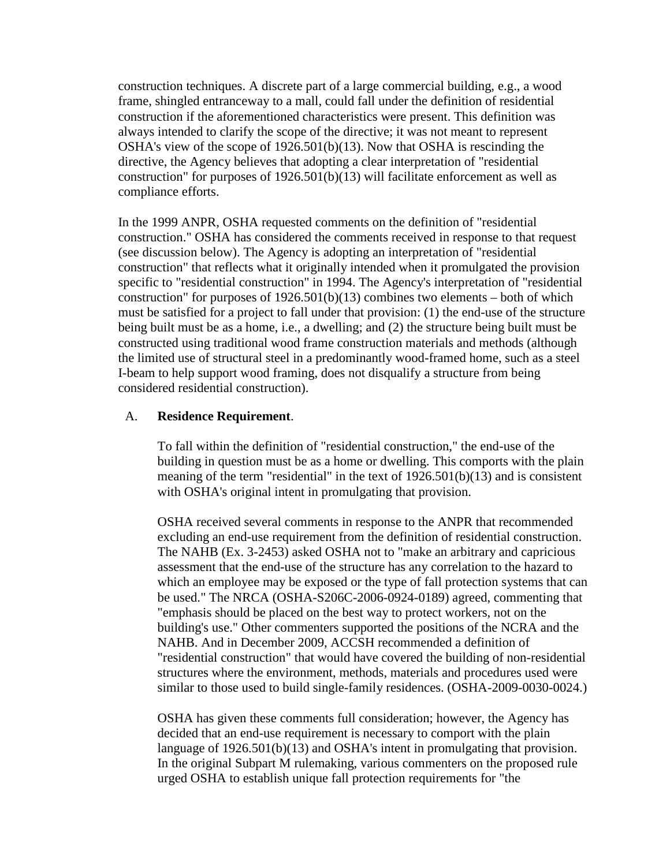construction techniques. A discrete part of a large commercial building, e.g., a wood frame, shingled entranceway to a mall, could fall under the definition of residential construction if the aforementioned characteristics were present. This definition was always intended to clarify the scope of the directive; it was not meant to represent OSHA's view of the scope of 1926.501(b)(13). Now that OSHA is rescinding the directive, the Agency believes that adopting a clear interpretation of "residential construction" for purposes of 1926.501(b)(13) will facilitate enforcement as well as compliance efforts.

In the 1999 ANPR, OSHA requested comments on the definition of "residential construction." OSHA has considered the comments received in response to that request (see discussion below). The Agency is adopting an interpretation of "residential construction" that reflects what it originally intended when it promulgated the provision specific to "residential construction" in 1994. The Agency's interpretation of "residential construction" for purposes of  $1926.501(b)(13)$  combines two elements – both of which must be satisfied for a project to fall under that provision: (1) the end-use of the structure being built must be as a home, i.e., a dwelling; and (2) the structure being built must be constructed using traditional wood frame construction materials and methods (although the limited use of structural steel in a predominantly wood-framed home, such as a steel I-beam to help support wood framing, does not disqualify a structure from being considered residential construction).

#### A. **Residence Requirement**.

To fall within the definition of "residential construction," the end-use of the building in question must be as a home or dwelling. This comports with the plain meaning of the term "residential" in the text of 1926.501(b)(13) and is consistent with OSHA's original intent in promulgating that provision.

OSHA received several comments in response to the ANPR that recommended excluding an end-use requirement from the definition of residential construction. The NAHB (Ex. 3-2453) asked OSHA not to "make an arbitrary and capricious assessment that the end-use of the structure has any correlation to the hazard to which an employee may be exposed or the type of fall protection systems that can be used." The NRCA (OSHA-S206C-2006-0924-0189) agreed, commenting that "emphasis should be placed on the best way to protect workers, not on the building's use." Other commenters supported the positions of the NCRA and the NAHB. And in December 2009, ACCSH recommended a definition of "residential construction" that would have covered the building of non-residential structures where the environment, methods, materials and procedures used were similar to those used to build single-family residences. (OSHA-2009-0030-0024.)

OSHA has given these comments full consideration; however, the Agency has decided that an end-use requirement is necessary to comport with the plain language of 1926.501(b)(13) and OSHA's intent in promulgating that provision. In the original Subpart M rulemaking, various commenters on the proposed rule urged OSHA to establish unique fall protection requirements for "the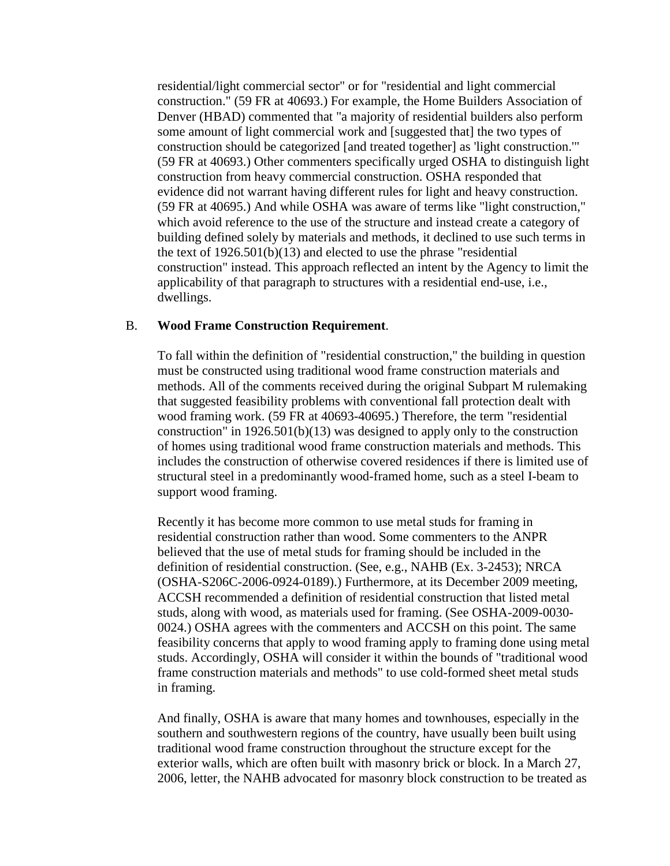residential/light commercial sector" or for "residential and light commercial construction." (59 FR at 40693.) For example, the Home Builders Association of Denver (HBAD) commented that "a majority of residential builders also perform some amount of light commercial work and [suggested that] the two types of construction should be categorized [and treated together] as 'light construction.'" (59 FR at 40693.) Other commenters specifically urged OSHA to distinguish light construction from heavy commercial construction. OSHA responded that evidence did not warrant having different rules for light and heavy construction. (59 FR at 40695.) And while OSHA was aware of terms like "light construction," which avoid reference to the use of the structure and instead create a category of building defined solely by materials and methods, it declined to use such terms in the text of 1926.501(b)(13) and elected to use the phrase "residential construction" instead. This approach reflected an intent by the Agency to limit the applicability of that paragraph to structures with a residential end-use, i.e., dwellings.

#### B. **Wood Frame Construction Requirement**.

To fall within the definition of "residential construction," the building in question must be constructed using traditional wood frame construction materials and methods. All of the comments received during the original Subpart M rulemaking that suggested feasibility problems with conventional fall protection dealt with wood framing work. (59 FR at 40693-40695.) Therefore, the term "residential construction" in 1926.501(b)(13) was designed to apply only to the construction of homes using traditional wood frame construction materials and methods. This includes the construction of otherwise covered residences if there is limited use of structural steel in a predominantly wood-framed home, such as a steel I-beam to support wood framing.

Recently it has become more common to use metal studs for framing in residential construction rather than wood. Some commenters to the ANPR believed that the use of metal studs for framing should be included in the definition of residential construction. (See, e.g., NAHB (Ex. 3-2453); NRCA (OSHA-S206C-2006-0924-0189).) Furthermore, at its December 2009 meeting, ACCSH recommended a definition of residential construction that listed metal studs, along with wood, as materials used for framing. (See OSHA-2009-0030- 0024.) OSHA agrees with the commenters and ACCSH on this point. The same feasibility concerns that apply to wood framing apply to framing done using metal studs. Accordingly, OSHA will consider it within the bounds of "traditional wood frame construction materials and methods" to use cold-formed sheet metal studs in framing.

And finally, OSHA is aware that many homes and townhouses, especially in the southern and southwestern regions of the country, have usually been built using traditional wood frame construction throughout the structure except for the exterior walls, which are often built with masonry brick or block. In a March 27, 2006, letter, the NAHB advocated for masonry block construction to be treated as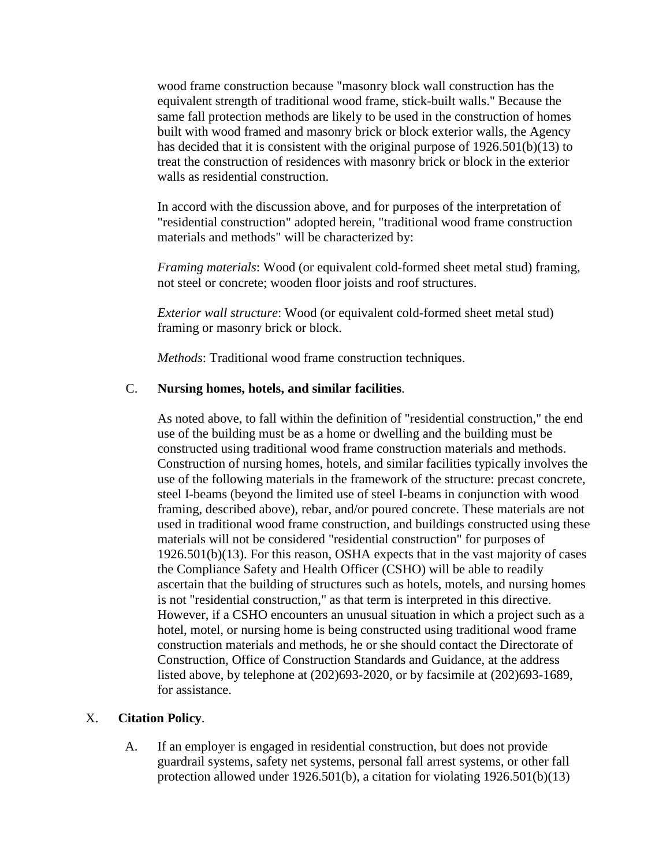wood frame construction because "masonry block wall construction has the equivalent strength of traditional wood frame, stick-built walls." Because the same fall protection methods are likely to be used in the construction of homes built with wood framed and masonry brick or block exterior walls, the Agency has decided that it is consistent with the original purpose of 1926.501(b)(13) to treat the construction of residences with masonry brick or block in the exterior walls as residential construction.

In accord with the discussion above, and for purposes of the interpretation of "residential construction" adopted herein, "traditional wood frame construction materials and methods" will be characterized by:

*Framing materials*: Wood (or equivalent cold-formed sheet metal stud) framing, not steel or concrete; wooden floor joists and roof structures.

*Exterior wall structure*: Wood (or equivalent cold-formed sheet metal stud) framing or masonry brick or block.

*Methods*: Traditional wood frame construction techniques.

## C. **Nursing homes, hotels, and similar facilities**.

As noted above, to fall within the definition of "residential construction," the end use of the building must be as a home or dwelling and the building must be constructed using traditional wood frame construction materials and methods. Construction of nursing homes, hotels, and similar facilities typically involves the use of the following materials in the framework of the structure: precast concrete, steel I-beams (beyond the limited use of steel I-beams in conjunction with wood framing, described above), rebar, and/or poured concrete. These materials are not used in traditional wood frame construction, and buildings constructed using these materials will not be considered "residential construction" for purposes of 1926.501(b)(13). For this reason, OSHA expects that in the vast majority of cases the Compliance Safety and Health Officer (CSHO) will be able to readily ascertain that the building of structures such as hotels, motels, and nursing homes is not "residential construction," as that term is interpreted in this directive. However, if a CSHO encounters an unusual situation in which a project such as a hotel, motel, or nursing home is being constructed using traditional wood frame construction materials and methods, he or she should contact the Directorate of Construction, Office of Construction Standards and Guidance, at the address listed above, by telephone at (202)693-2020, or by facsimile at (202)693-1689, for assistance.

#### X. **Citation Policy**.

A. If an employer is engaged in residential construction, but does not provide guardrail systems, safety net systems, personal fall arrest systems, or other fall protection allowed under 1926.501(b), a citation for violating 1926.501(b)(13)